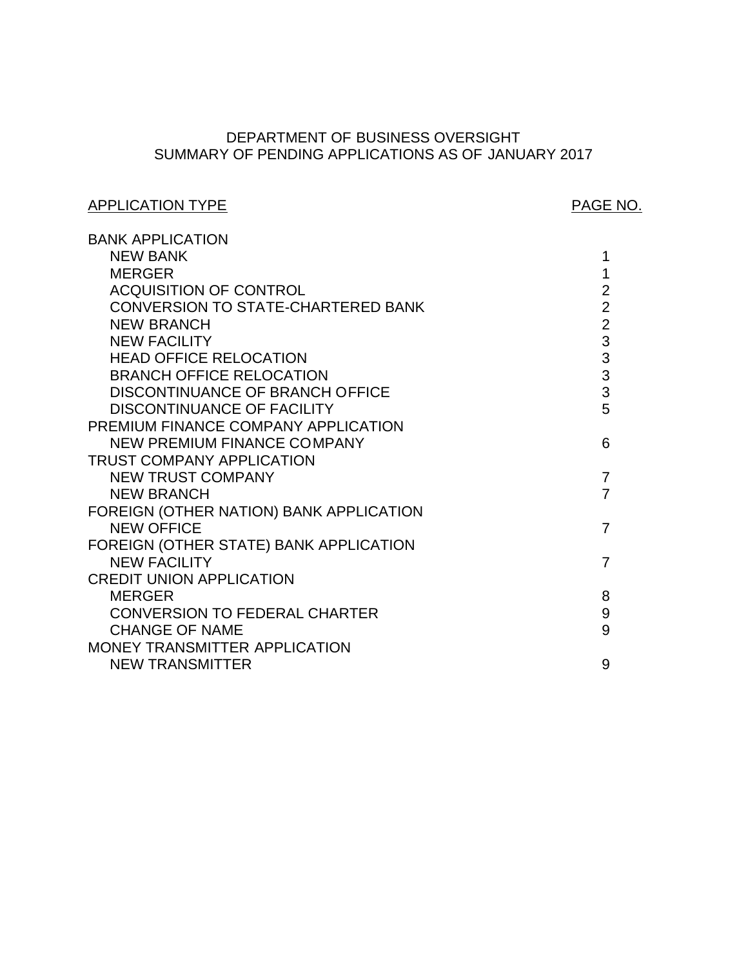# SUMMARY OF PENDING APPLICATIONS AS OF JANUARY 2017 DEPARTMENT OF BUSINESS OVERSIGHT

# APPLICATION TYPE APPLICATION TYPE

| <b>BANK APPLICATION</b>                   |                |
|-------------------------------------------|----------------|
| <b>NEW BANK</b>                           | 1              |
| <b>MERGER</b>                             | 1              |
| <b>ACQUISITION OF CONTROL</b>             | $\overline{2}$ |
| <b>CONVERSION TO STATE-CHARTERED BANK</b> | $\overline{2}$ |
| <b>NEW BRANCH</b>                         | $\overline{2}$ |
| <b>NEW FACILITY</b>                       | $\overline{3}$ |
| <b>HEAD OFFICE RELOCATION</b>             | $\frac{3}{3}$  |
| <b>BRANCH OFFICE RELOCATION</b>           |                |
| DISCONTINUANCE OF BRANCH OFFICE           | $\overline{3}$ |
| <b>DISCONTINUANCE OF FACILITY</b>         | 5              |
| PREMIUM FINANCE COMPANY APPLICATION       |                |
| <b>NEW PREMIUM FINANCE COMPANY</b>        | 6              |
| <b>TRUST COMPANY APPLICATION</b>          |                |
| <b>NEW TRUST COMPANY</b>                  | $\overline{7}$ |
| <b>NEW BRANCH</b>                         | $\overline{7}$ |
| FOREIGN (OTHER NATION) BANK APPLICATION   |                |
| <b>NEW OFFICE</b>                         | 7              |
| FOREIGN (OTHER STATE) BANK APPLICATION    |                |
| <b>NEW FACILITY</b>                       | $\overline{7}$ |
| <b>CREDIT UNION APPLICATION</b>           |                |
| <b>MERGER</b>                             | 8              |
| <b>CONVERSION TO FEDERAL CHARTER</b>      | 9              |
| <b>CHANGE OF NAME</b>                     | 9              |
| MONEY TRANSMITTER APPLICATION             |                |
| <b>NEW TRANSMITTER</b>                    | 9              |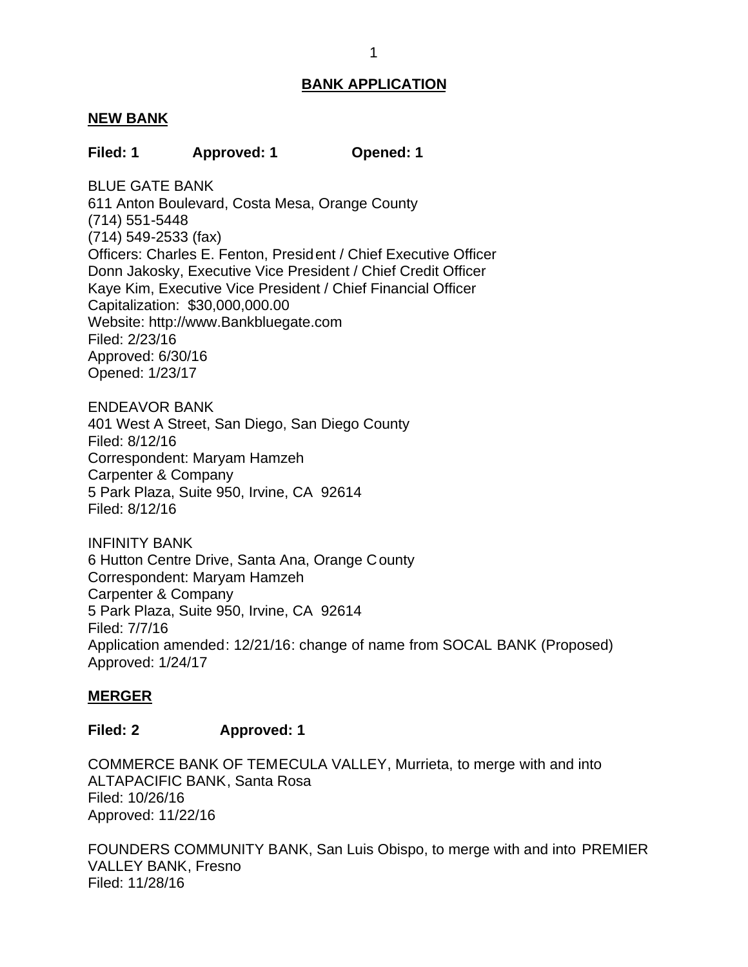### <span id="page-1-0"></span>**NEW BANK**

### **Filed: 1 Approved: 1 Opened: 1**

 BLUE GATE BANK 611 Anton Boulevard, Costa Mesa, Orange County Officers: Charles E. Fenton, President / Chief Executive Officer Donn Jakosky, Executive Vice President / Chief Credit Officer Kaye Kim, Executive Vice President / Chief Financial Officer Capitalization: \$30,000,000.00 (714) 551-5448 (714) 549-2533 (fax) Website: http://www.Bankbluegate.com Filed: 2/23/16 Approved: 6/30/16 Opened: 1/23/17

ENDEAVOR BANK

 401 West A Street, San Diego, San Diego County Correspondent: Maryam Hamzeh Carpenter & Company 5 Park Plaza, Suite 950, Irvine, CA 92614 Filed: 8/12/16 Filed: 8/12/16

 6 Hutton Centre Drive, Santa Ana, Orange County Correspondent: Maryam Hamzeh Carpenter & Company 5 Park Plaza, Suite 950, Irvine, CA 92614 INFINITY BANK Filed: 7/7/16 Application amended: 12/21/16: change of name from SOCAL BANK (Proposed) Approved: 1/24/17

### **MERGER**

#### **Filed: 2 Approved: 1**

 COMMERCE BANK OF TEMECULA VALLEY, Murrieta, to merge with and into ALTAPACIFIC BANK, Santa Rosa Filed: 10/26/16 Approved: 11/22/16

 FOUNDERS COMMUNITY BANK, San Luis Obispo, to merge with and into PREMIER VALLEY BANK, Fresno Filed: 11/28/16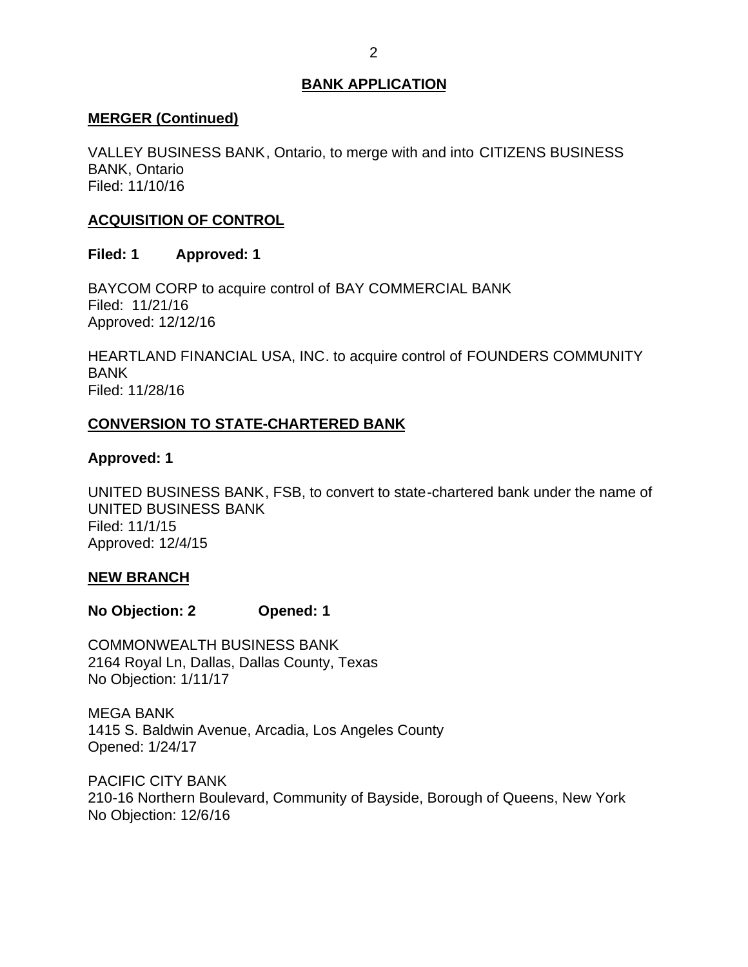## <span id="page-2-0"></span>**MERGER (Continued)**

 VALLEY BUSINESS BANK, Ontario, to merge with and into CITIZENS BUSINESS BANK, Ontario Filed: 11/10/16

# **ACQUISITION OF CONTROL**

## **Filed: 1 Approved: 1**

 BAYCOM CORP to acquire control of BAY COMMERCIAL BANK Filed: 11/21/16 Approved: 12/12/16

 HEARTLAND FINANCIAL USA, INC. to acquire control of FOUNDERS COMMUNITY BANK Filed: 11/28/16

## **CONVERSION TO STATE-CHARTERED BANK**

## **Approved: 1**

 UNITED BUSINESS BANK, FSB, to convert to state-chartered bank under the name of UNITED BUSINESS BANK Filed: 11/1/15 Approved: 12/4/15

## **NEW BRANCH**

**No Objection: 2 Opened: 1** 

 2164 Royal Ln, Dallas, Dallas County, Texas No Objection: 1/11/17 COMMONWEALTH BUSINESS BANK

 1415 S. Baldwin Avenue, Arcadia, Los Angeles County MEGA BANK Opened: 1/24/17

 210-16 Northern Boulevard, Community of Bayside, Borough of Queens, New York No Objection: 12/6/16 PACIFIC CITY BANK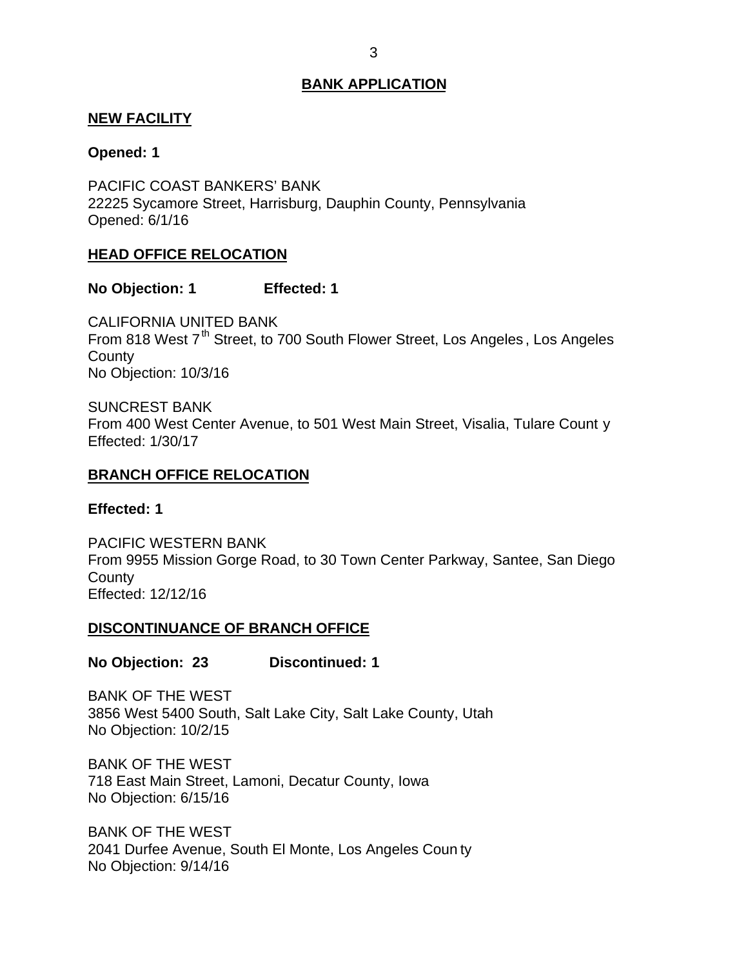### <span id="page-3-0"></span>**NEW FACILITY**

### **Opened: 1**

 PACIFIC COAST BANKERS' BANK 22225 Sycamore Street, Harrisburg, Dauphin County, Pennsylvania Opened: 6/1/16

## **HEAD OFFICE RELOCATION**

### **No Objection: 1 Effected: 1**

From 818 West 7<sup>th</sup> Street, to 700 South Flower Street, Los Angeles, Los Angeles No Objection: 10/3/16 CALIFORNIA UNITED BANK **County** 

 From 400 West Center Avenue, to 501 West Main Street, Visalia, Tulare Count y SUNCREST BANK Effected: 1/30/17

### **BRANCH OFFICE RELOCATION**

#### **Effected: 1**

 From 9955 Mission Gorge Road, to 30 Town Center Parkway, Santee, San Diego PACIFIC WESTERN BANK **County** Effected: 12/12/16

### **DISCONTINUANCE OF BRANCH OFFICE**

**No Objection: 23 Discontinued: 1** 

 3856 West 5400 South, Salt Lake City, Salt Lake County, Utah No Objection: 10/2/15 BANK OF THE WEST

 BANK OF THE WEST 718 East Main Street, Lamoni, Decatur County, Iowa No Objection: 6/15/16

 BANK OF THE WEST 2041 Durfee Avenue, South El Monte, Los Angeles Coun ty No Objection: 9/14/16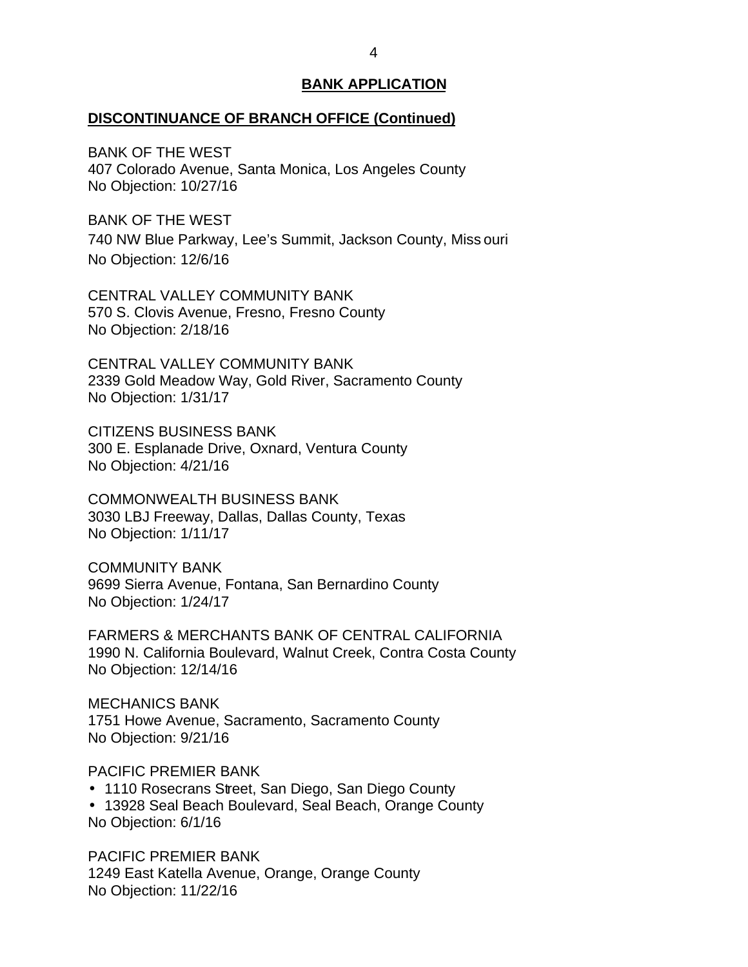#### **DISCONTINUANCE OF BRANCH OFFICE (Continued)**

 BANK OF THE WEST 407 Colorado Avenue, Santa Monica, Los Angeles County No Objection: 10/27/16

 BANK OF THE WEST 740 NW Blue Parkway, Lee's Summit, Jackson County, Miss ouri No Objection: 12/6/16

 CENTRAL VALLEY COMMUNITY BANK 570 S. Clovis Avenue, Fresno, Fresno County No Objection: 2/18/16

 CENTRAL VALLEY COMMUNITY BANK 2339 Gold Meadow Way, Gold River, Sacramento County No Objection: 1/31/17

 300 E. Esplanade Drive, Oxnard, Ventura County No Objection: 4/21/16 CITIZENS BUSINESS BANK

 3030 LBJ Freeway, Dallas, Dallas County, Texas No Objection: 1/11/17 COMMONWEALTH BUSINESS BANK

 9699 Sierra Avenue, Fontana, San Bernardino County No Objection: 1/24/17 COMMUNITY BANK

 FARMERS & MERCHANTS BANK OF CENTRAL CALIFORNIA 1990 N. California Boulevard, Walnut Creek, Contra Costa County No Objection: 12/14/16

 1751 Howe Avenue, Sacramento, Sacramento County No Objection: 9/21/16 MECHANICS BANK

PACIFIC PREMIER BANK

- 1110 Rosecrans Street, San Diego, San Diego County
- 13928 Seal Beach Boulevard, Seal Beach, Orange County No Objection: 6/1/16

 PACIFIC PREMIER BANK 1249 East Katella Avenue, Orange, Orange County No Objection: 11/22/16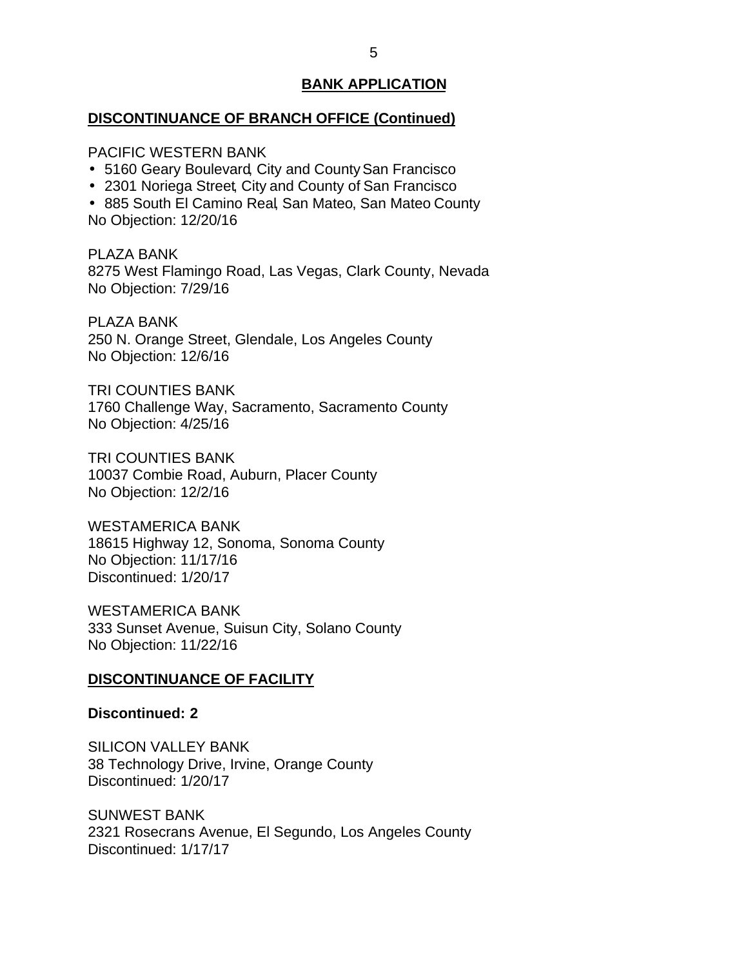## <span id="page-5-0"></span>**DISCONTINUANCE OF BRANCH OFFICE (Continued)**

PACIFIC WESTERN BANK

- 5160 Geary Boulevard, City and County San Francisco
- 2301 Noriega Street, City and County of San Francisco

 885 South El Camino Real, San Mateo, San Mateo County No Objection: 12/20/16

 8275 West Flamingo Road, Las Vegas, Clark County, Nevada No Objection: 7/29/16 PLAZA BANK

 250 N. Orange Street, Glendale, Los Angeles County No Objection: 12/6/16 PLAZA BANK

 1760 Challenge Way, Sacramento, Sacramento County No Objection: 4/25/16 TRI COUNTIES BANK

 10037 Combie Road, Auburn, Placer County No Objection: 12/2/16 TRI COUNTIES BANK

 18615 Highway 12, Sonoma, Sonoma County No Objection: 11/17/16 WESTAMERICA BANK Discontinued: 1/20/17

 333 Sunset Avenue, Suisun City, Solano County No Objection: 11/22/16 WESTAMERICA BANK

## **DISCONTINUANCE OF FACILITY**

#### **Discontinued: 2**

 38 Technology Drive, Irvine, Orange County SILICON VALLEY BANK Discontinued: 1/20/17

 2321 Rosecrans Avenue, El Segundo, Los Angeles County SUNWEST BANK Discontinued: 1/17/17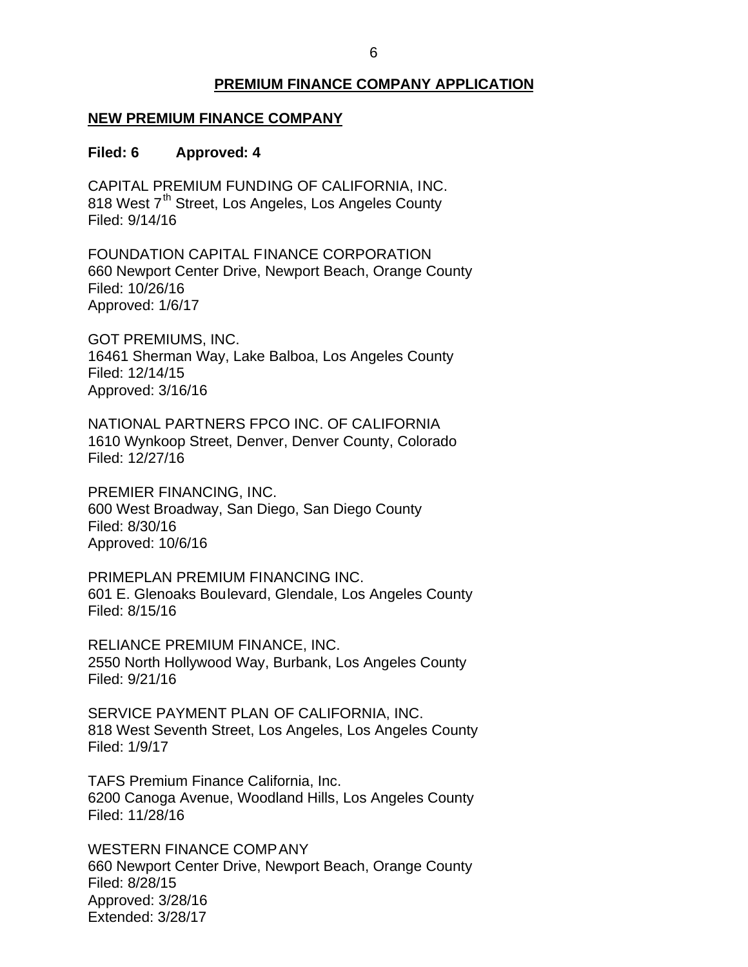# **PREMIUM FINANCE COMPANY APPLICATION**

## <span id="page-6-0"></span> **NEW PREMIUM FINANCE COMPANY**

#### **Filed: 6 Approved: 4**

 CAPITAL PREMIUM FUNDING OF CALIFORNIA, INC. 818 West 7<sup>th</sup> Street, Los Angeles, Los Angeles County Filed: 9/14/16

 660 Newport Center Drive, Newport Beach, Orange County FOUNDATION CAPITAL FINANCE CORPORATION Filed: 10/26/16 Approved: 1/6/17

 16461 Sherman Way, Lake Balboa, Los Angeles County GOT PREMIUMS, INC. Filed: 12/14/15 Approved: 3/16/16

 NATIONAL PARTNERS FPCO INC. OF CALIFORNIA 1610 Wynkoop Street, Denver, Denver County, Colorado Filed: 12/27/16

 600 West Broadway, San Diego, San Diego County PREMIER FINANCING, INC. Filed: 8/30/16 Approved: 10/6/16

 601 E. Glenoaks Boulevard, Glendale, Los Angeles County PRIMEPLAN PREMIUM FINANCING INC. Filed: 8/15/16

 RELIANCE PREMIUM FINANCE, INC. 2550 North Hollywood Way, Burbank, Los Angeles County Filed: 9/21/16

 SERVICE PAYMENT PLAN OF CALIFORNIA, INC. 818 West Seventh Street, Los Angeles, Los Angeles County Filed: 1/9/17

 TAFS Premium Finance California, Inc. 6200 Canoga Avenue, Woodland Hills, Los Angeles County Filed: 11/28/16

 660 Newport Center Drive, Newport Beach, Orange County WESTERN FINANCE COMPANY Filed: 8/28/15 Approved: 3/28/16 Extended: 3/28/17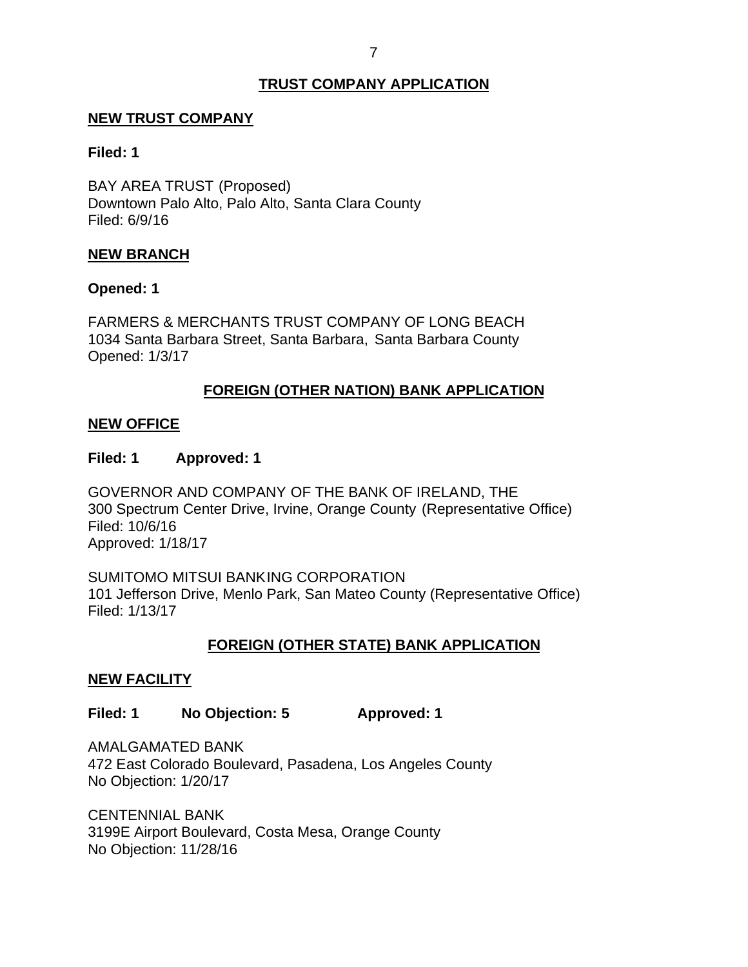## **TRUST COMPANY APPLICATION**

### <span id="page-7-0"></span>**NEW TRUST COMPANY**

### **Filed: 1**

 BAY AREA TRUST (Proposed) Downtown Palo Alto, Palo Alto, Santa Clara County Filed: 6/9/16

### **NEW BRANCH**

### **Opened: 1**

 FARMERS & MERCHANTS TRUST COMPANY OF LONG BEACH 1034 Santa Barbara Street, Santa Barbara, Santa Barbara County Opened: 1/3/17

## **FOREIGN (OTHER NATION) BANK APPLICATION**

### **NEW OFFICE**

### **Filed: 1 Approved: 1**

 GOVERNOR AND COMPANY OF THE BANK OF IRELAND, THE 300 Spectrum Center Drive, Irvine, Orange County (Representative Office) Filed: 10/6/16 Approved: 1/18/17

 SUMITOMO MITSUI BANKING CORPORATION 101 Jefferson Drive, Menlo Park, San Mateo County (Representative Office) Filed: 1/13/17

## **FOREIGN (OTHER STATE) BANK APPLICATION**

#### **NEW FACILITY**

## **Filed: 1 No Objection: 5 Approved: 1**

 472 East Colorado Boulevard, Pasadena, Los Angeles County No Objection: 1/20/17 AMALGAMATED BANK

 3199E Airport Boulevard, Costa Mesa, Orange County No Objection: 11/28/16 CENTENNIAL BANK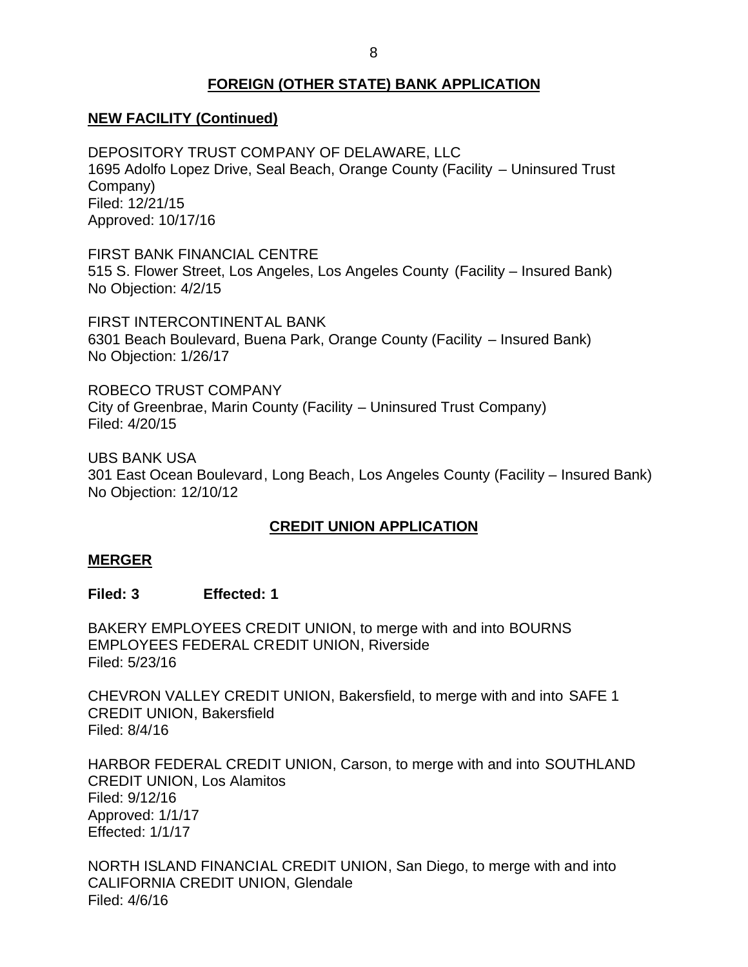## **FOREIGN (OTHER STATE) BANK APPLICATION**

# <span id="page-8-0"></span> **NEW FACILITY (Continued)**

 DEPOSITORY TRUST COMPANY OF DELAWARE, LLC 1695 Adolfo Lopez Drive, Seal Beach, Orange County (Facility – Uninsured Trust Company) Filed: 12/21/15 Approved: 10/17/16

FIRST BANK FINANCIAL CENTRE

 515 S. Flower Street, Los Angeles, Los Angeles County (Facility – Insured Bank) No Objection: 4/2/15

 6301 Beach Boulevard, Buena Park, Orange County (Facility – Insured Bank) No Objection: 1/26/17 FIRST INTERCONTINENTAL BANK

 ROBECO TRUST COMPANY City of Greenbrae, Marin County (Facility – Uninsured Trust Company) Filed: 4/20/15

 301 East Ocean Boulevard, Long Beach, Los Angeles County (Facility – Insured Bank) UBS BANK USA No Objection: 12/10/12

# **CREDIT UNION APPLICATION**

### **MERGER**

### **Filed: 3 Effected: 1**

 BAKERY EMPLOYEES CREDIT UNION, to merge with and into BOURNS EMPLOYEES FEDERAL CREDIT UNION, Riverside Filed: 5/23/16

 CHEVRON VALLEY CREDIT UNION, Bakersfield, to merge with and into SAFE 1 CREDIT UNION, Bakersfield Filed: 8/4/16

 HARBOR FEDERAL CREDIT UNION, Carson, to merge with and into SOUTHLAND CREDIT UNION, Los Alamitos Filed: 9/12/16 Approved: 1/1/17 Effected: 1/1/17

 NORTH ISLAND FINANCIAL CREDIT UNION, San Diego, to merge with and into CALIFORNIA CREDIT UNION, Glendale Filed: 4/6/16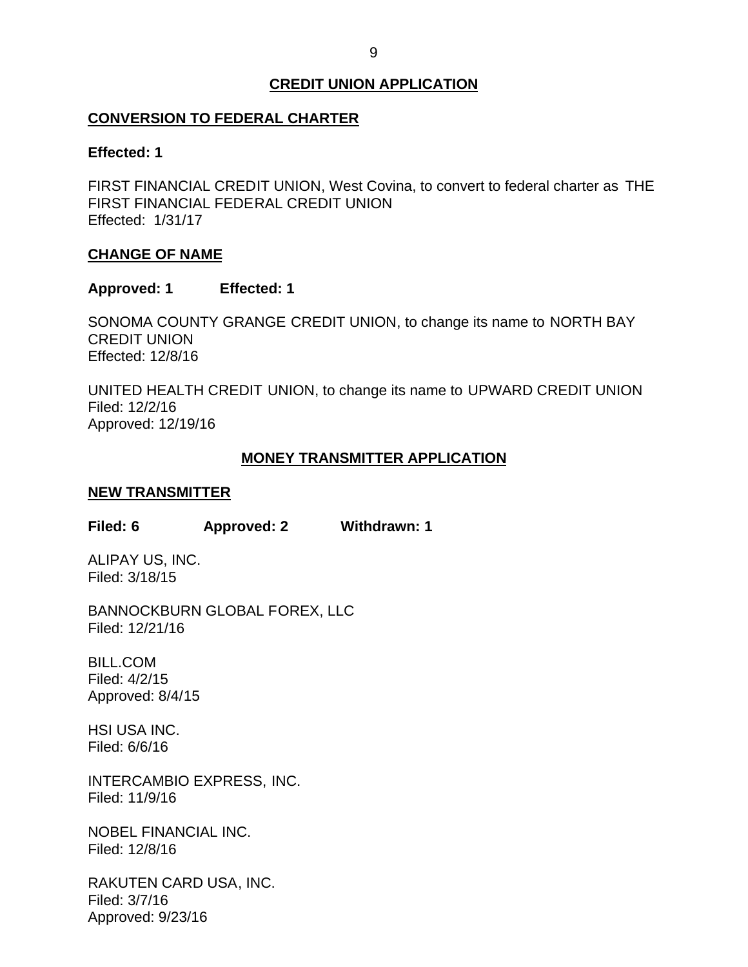# **CREDIT UNION APPLICATION**

## <span id="page-9-0"></span>**CONVERSION TO FEDERAL CHARTER**

### **Effected: 1**

 FIRST FINANCIAL CREDIT UNION, West Covina, to convert to federal charter as THE FIRST FINANCIAL FEDERAL CREDIT UNION Effected: 1/31/17

### **CHANGE OF NAME**

### **Approved: 1 Effected: 1**

 SONOMA COUNTY GRANGE CREDIT UNION, to change its name to NORTH BAY CREDIT UNION Effected: 12/8/16

 UNITED HEALTH CREDIT UNION, to change its name to UPWARD CREDIT UNION Filed: 12/2/16 Approved: 12/19/16

## **MONEY TRANSMITTER APPLICATION**

### **NEW TRANSMITTER**

**Filed: 6 Approved: 2 Withdrawn: 1** 

 ALIPAY US, INC. Filed: 3/18/15

BANNOCKBURN GLOBAL FOREX, LLC Filed: 12/21/16

BILL.COM Filed: 4/2/15 Approved: 8/4/15

HSI USA INC. Filed: 6/6/16

INTERCAMBIO EXPRESS, INC. Filed: 11/9/16

NOBEL FINANCIAL INC. Filed: 12/8/16

RAKUTEN CARD USA, INC. Filed: 3/7/16 Approved: 9/23/16